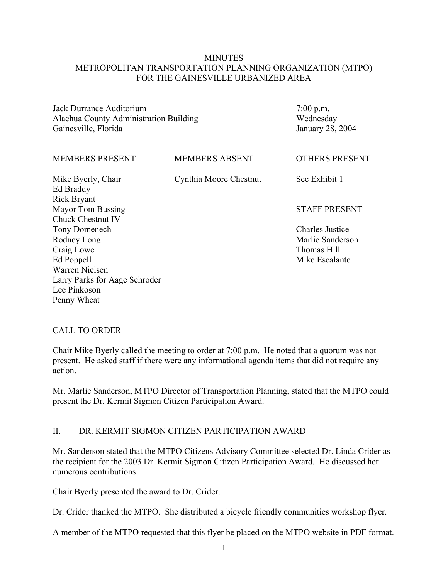### MINUTES METROPOLITAN TRANSPORTATION PLANNING ORGANIZATION (MTPO) FOR THE GAINESVILLE URBANIZED AREA

Jack Durrance Auditorium Alachua County Administration Building Gainesville, Florida

7:00 p.m. Wednesday January 28, 2004

#### MEMBERS PRESENT

MEMBERS ABSENT Cynthia Moore Chestnut

Mike Byerly, Chair Ed Braddy Rick Bryant Mayor Tom Bussing Chuck Chestnut IV Tony Domenech Rodney Long Craig Lowe Ed Poppell Warren Nielsen Larry Parks for Aage Schroder Lee Pinkoson Penny Wheat

OTHERS PRESENT

See Exhibit 1

#### STAFF PRESENT

Charles Justice Marlie Sanderson Thomas Hill Mike Escalante

### CALL TO ORDER

Chair Mike Byerly called the meeting to order at 7:00 p.m. He noted that a quorum was not present. He asked staff if there were any informational agenda items that did not require any action.

Mr. Marlie Sanderson, MTPO Director of Transportation Planning, stated that the MTPO could present the Dr. Kermit Sigmon Citizen Participation Award.

### II. DR. KERMIT SIGMON CITIZEN PARTICIPATION AWARD

Mr. Sanderson stated that the MTPO Citizens Advisory Committee selected Dr. Linda Crider as the recipient for the 2003 Dr. Kermit Sigmon Citizen Participation Award. He discussed her numerous contributions.

Chair Byerly presented the award to Dr. Crider.

Dr. Crider thanked the MTPO. She distributed a bicycle friendly communities workshop flyer.

A member of the MTPO requested that this flyer be placed on the MTPO website in PDF format.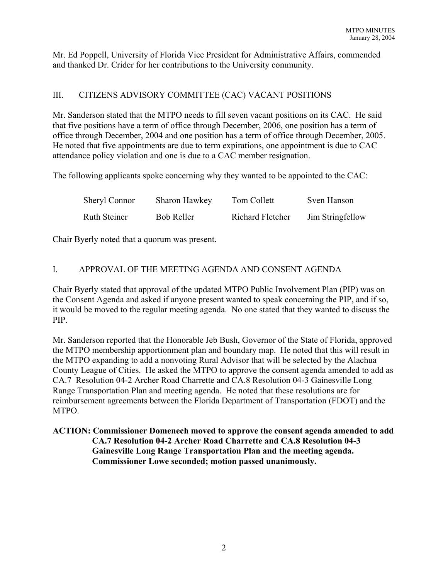Mr. Ed Poppell, University of Florida Vice President for Administrative Affairs, commended and thanked Dr. Crider for her contributions to the University community.

## III. CITIZENS ADVISORY COMMITTEE (CAC) VACANT POSITIONS

Mr. Sanderson stated that the MTPO needs to fill seven vacant positions on its CAC. He said that five positions have a term of office through December, 2006, one position has a term of office through December, 2004 and one position has a term of office through December, 2005. He noted that five appointments are due to term expirations, one appointment is due to CAC attendance policy violation and one is due to a CAC member resignation.

The following applicants spoke concerning why they wanted to be appointed to the CAC:

| <b>Sheryl Connor</b> | Sharon Hawkey     | Tom Collett      | Sven Hanson      |
|----------------------|-------------------|------------------|------------------|
| <b>Ruth Steiner</b>  | <b>Bob Reller</b> | Richard Fletcher | Jim Stringfellow |

Chair Byerly noted that a quorum was present.

# I. APPROVAL OF THE MEETING AGENDA AND CONSENT AGENDA

Chair Byerly stated that approval of the updated MTPO Public Involvement Plan (PIP) was on the Consent Agenda and asked if anyone present wanted to speak concerning the PIP, and if so, it would be moved to the regular meeting agenda. No one stated that they wanted to discuss the PIP.

Mr. Sanderson reported that the Honorable Jeb Bush, Governor of the State of Florida, approved the MTPO membership apportionment plan and boundary map. He noted that this will result in the MTPO expanding to add a nonvoting Rural Advisor that will be selected by the Alachua County League of Cities. He asked the MTPO to approve the consent agenda amended to add as CA.7 Resolution 04-2 Archer Road Charrette and CA.8 Resolution 04-3 Gainesville Long Range Transportation Plan and meeting agenda. He noted that these resolutions are for reimbursement agreements between the Florida Department of Transportation (FDOT) and the MTPO.

**ACTION: Commissioner Domenech moved to approve the consent agenda amended to add CA.7 Resolution 04-2 Archer Road Charrette and CA.8 Resolution 04-3 Gainesville Long Range Transportation Plan and the meeting agenda. Commissioner Lowe seconded; motion passed unanimously.**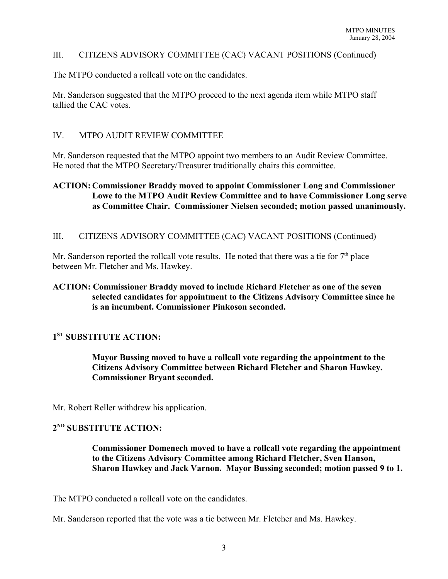### III. CITIZENS ADVISORY COMMITTEE (CAC) VACANT POSITIONS (Continued)

The MTPO conducted a rollcall vote on the candidates.

Mr. Sanderson suggested that the MTPO proceed to the next agenda item while MTPO staff tallied the CAC votes.

### IV. MTPO AUDIT REVIEW COMMITTEE

Mr. Sanderson requested that the MTPO appoint two members to an Audit Review Committee. He noted that the MTPO Secretary/Treasurer traditionally chairs this committee.

## **ACTION: Commissioner Braddy moved to appoint Commissioner Long and Commissioner Lowe to the MTPO Audit Review Committee and to have Commissioner Long serve as Committee Chair. Commissioner Nielsen seconded; motion passed unanimously.**

III. CITIZENS ADVISORY COMMITTEE (CAC) VACANT POSITIONS (Continued)

Mr. Sanderson reported the rollcall vote results. He noted that there was a tie for  $7<sup>th</sup>$  place between Mr. Fletcher and Ms. Hawkey.

## **ACTION: Commissioner Braddy moved to include Richard Fletcher as one of the seven selected candidates for appointment to the Citizens Advisory Committee since he is an incumbent. Commissioner Pinkoson seconded.**

## **1ST SUBSTITUTE ACTION:**

**Mayor Bussing moved to have a rollcall vote regarding the appointment to the Citizens Advisory Committee between Richard Fletcher and Sharon Hawkey. Commissioner Bryant seconded.**

Mr. Robert Reller withdrew his application.

# **2ND SUBSTITUTE ACTION:**

**Commissioner Domenech moved to have a rollcall vote regarding the appointment to the Citizens Advisory Committee among Richard Fletcher, Sven Hanson, Sharon Hawkey and Jack Varnon. Mayor Bussing seconded; motion passed 9 to 1.**

The MTPO conducted a rollcall vote on the candidates.

Mr. Sanderson reported that the vote was a tie between Mr. Fletcher and Ms. Hawkey.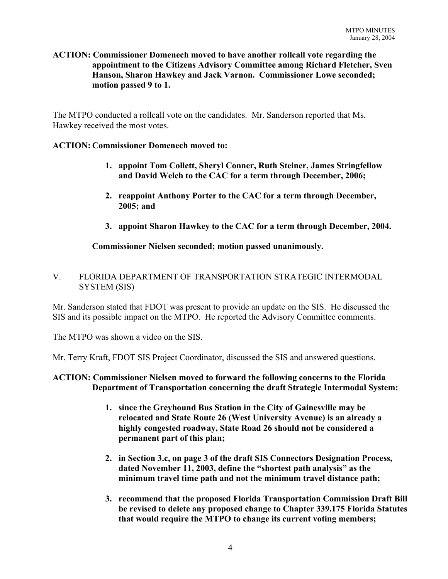## **ACTION: Commissioner Domenech moved to have another rollcall vote regarding the appointment to the Citizens Advisory Committee among Richard Fletcher, Sven Hanson, Sharon Hawkey and Jack Varnon. Commissioner Lowe seconded; motion passed 9 to 1.**

The MTPO conducted a rollcall vote on the candidates. Mr. Sanderson reported that Ms. Hawkey received the most votes.

## **ACTION: Commissioner Domenech moved to:**

- **1. appoint Tom Collett, Sheryl Conner, Ruth Steiner, James Stringfellow and David Welch to the CAC for a term through December, 2006;**
- **2. reappoint Anthony Porter to the CAC for a term through December, 2005; and**
- **3. appoint Sharon Hawkey to the CAC for a term through December, 2004.**

# **Commissioner Nielsen seconded; motion passed unanimously.**

## V. FLORIDA DEPARTMENT OF TRANSPORTATION STRATEGIC INTERMODAL SYSTEM (SIS)

Mr. Sanderson stated that FDOT was present to provide an update on the SIS. He discussed the SIS and its possible impact on the MTPO. He reported the Advisory Committee comments.

The MTPO was shown a video on the SIS.

Mr. Terry Kraft, FDOT SIS Project Coordinator, discussed the SIS and answered questions.

### **ACTION: Commissioner Nielsen moved to forward the following concerns to the Florida Department of Transportation concerning the draft Strategic Intermodal System:**

- **1. since the Greyhound Bus Station in the City of Gainesville may be relocated and State Route 26 (West University Avenue) is an already a highly congested roadway, State Road 26 should not be considered a permanent part of this plan;**
- **2. in Section 3.c, on page 3 of the draft SIS Connectors Designation Process, dated November 11, 2003, define the "shortest path analysis" as the minimum travel time path and not the minimum travel distance path;**
- **3. recommend that the proposed Florida Transportation Commission Draft Bill be revised to delete any proposed change to Chapter 339.175 Florida Statutes that would require the MTPO to change its current voting members;**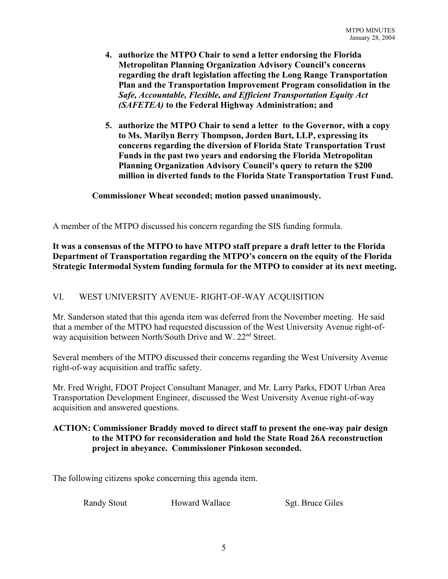- **4. authorize the MTPO Chair to send a letter endorsing the Florida Metropolitan Planning Organization Advisory Council's concerns regarding the draft legislation affecting the Long Range Transportation Plan and the Transportation Improvement Program consolidation in the** *Safe, Accountable, Flexible, and Efficient Transportation Equity Act (SAFETEA)* **to the Federal Highway Administration; and**
- **5. authorize the MTPO Chair to send a letter to the Governor, with a copy to Ms. Marilyn Berry Thompson, Jorden Burt, LLP, expressing its concerns regarding the diversion of Florida State Transportation Trust Funds in the past two years and endorsing the Florida Metropolitan Planning Organization Advisory Council's query to return the \$200 million in diverted funds to the Florida State Transportation Trust Fund.**

### **Commissioner Wheat seconded; motion passed unanimously.**

A member of the MTPO discussed his concern regarding the SIS funding formula.

### **It was a consensus of the MTPO to have MTPO staff prepare a draft letter to the Florida Department of Transportation regarding the MTPO's concern on the equity of the Florida Strategic Intermodal System funding formula for the MTPO to consider at its next meeting.**

## VI. WEST UNIVERSITY AVENUE- RIGHT-OF-WAY ACQUISITION

Mr. Sanderson stated that this agenda item was deferred from the November meeting. He said that a member of the MTPO had requested discussion of the West University Avenue right-ofway acquisition between North/South Drive and W. 22<sup>nd</sup> Street.

Several members of the MTPO discussed their concerns regarding the West University Avenue right-of-way acquisition and traffic safety.

Mr. Fred Wright, FDOT Project Consultant Manager, and Mr. Larry Parks, FDOT Urban Area Transportation Development Engineer, discussed the West University Avenue right-of-way acquisition and answered questions.

## **ACTION: Commissioner Braddy moved to direct staff to present the one-way pair design to the MTPO for reconsideration and hold the State Road 26A reconstruction project in abeyance. Commissioner Pinkoson seconded.**

The following citizens spoke concerning this agenda item.

Randy Stout Howard Wallace Sgt. Bruce Giles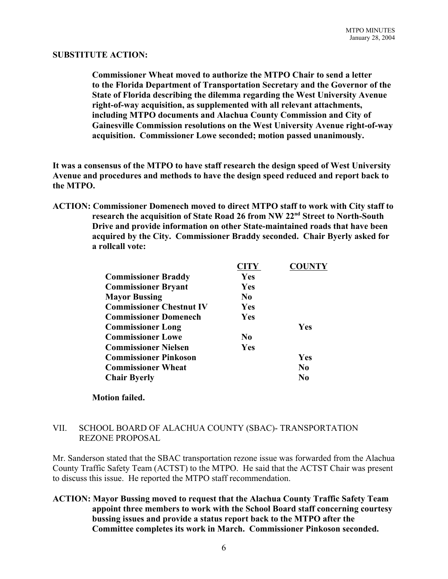#### **SUBSTITUTE ACTION:**

**Commissioner Wheat moved to authorize the MTPO Chair to send a letter to the Florida Department of Transportation Secretary and the Governor of the State of Florida describing the dilemma regarding the West University Avenue right-of-way acquisition, as supplemented with all relevant attachments, including MTPO documents and Alachua County Commission and City of Gainesville Commission resolutions on the West University Avenue right-of-way acquisition. Commissioner Lowe seconded; motion passed unanimously.** 

**It was a consensus of the MTPO to have staff research the design speed of West University Avenue and procedures and methods to have the design speed reduced and report back to the MTPO.**

**ACTION: Commissioner Domenech moved to direct MTPO staff to work with City staff to research the acquisition of State Road 26 from NW 22nd Street to North-South Drive and provide information on other State-maintained roads that have been acquired by the City. Commissioner Braddy seconded. Chair Byerly asked for a rollcall vote:**

|                                 | <b>CITY</b>    | <b>COUNTY</b>  |
|---------------------------------|----------------|----------------|
| <b>Commissioner Braddy</b>      | Yes            |                |
| <b>Commissioner Bryant</b>      | Yes            |                |
| <b>Mayor Bussing</b>            | No.            |                |
| <b>Commissioner Chestnut IV</b> | <b>Yes</b>     |                |
| <b>Commissioner Domenech</b>    | <b>Yes</b>     |                |
| <b>Commissioner Long</b>        |                | Yes            |
| <b>Commissioner Lowe</b>        | N <sub>0</sub> |                |
| <b>Commissioner Nielsen</b>     | Yes            |                |
| <b>Commissioner Pinkoson</b>    |                | Yes            |
| <b>Commissioner Wheat</b>       |                | N <sub>0</sub> |
| <b>Chair Byerly</b>             |                | N0             |

### **Motion failed.**

### VII. SCHOOL BOARD OF ALACHUA COUNTY (SBAC)- TRANSPORTATION REZONE PROPOSAL

Mr. Sanderson stated that the SBAC transportation rezone issue was forwarded from the Alachua County Traffic Safety Team (ACTST) to the MTPO. He said that the ACTST Chair was present to discuss this issue. He reported the MTPO staff recommendation.

**ACTION: Mayor Bussing moved to request that the Alachua County Traffic Safety Team appoint three members to work with the School Board staff concerning courtesy bussing issues and provide a status report back to the MTPO after the Committee completes its work in March. Commissioner Pinkoson seconded.**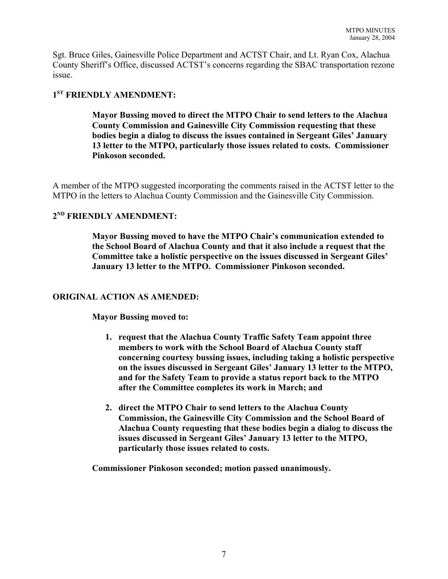Sgt. Bruce Giles, Gainesville Police Department and ACTST Chair, and Lt. Ryan Cox, Alachua County Sheriff's Office, discussed ACTST's concerns regarding the SBAC transportation rezone issue.

# **1ST FRIENDLY AMENDMENT:**

**Mayor Bussing moved to direct the MTPO Chair to send letters to the Alachua County Commission and Gainesville City Commission requesting that these bodies begin a dialog to discuss the issues contained in Sergeant Giles' January 13 letter to the MTPO, particularly those issues related to costs. Commissioner Pinkoson seconded.**

A member of the MTPO suggested incorporating the comments raised in the ACTST letter to the MTPO in the letters to Alachua County Commission and the Gainesville City Commission.

### **2ND FRIENDLY AMENDMENT:**

**Mayor Bussing moved to have the MTPO Chair's communication extended to the School Board of Alachua County and that it also include a request that the Committee take a holistic perspective on the issues discussed in Sergeant Giles' January 13 letter to the MTPO. Commissioner Pinkoson seconded.**

### **ORIGINAL ACTION AS AMENDED:**

**Mayor Bussing moved to:**

- **1. request that the Alachua County Traffic Safety Team appoint three members to work with the School Board of Alachua County staff concerning courtesy bussing issues, including taking a holistic perspective on the issues discussed in Sergeant Giles' January 13 letter to the MTPO, and for the Safety Team to provide a status report back to the MTPO after the Committee completes its work in March; and**
- **2. direct the MTPO Chair to send letters to the Alachua County Commission, the Gainesville City Commission and the School Board of Alachua County requesting that these bodies begin a dialog to discuss the issues discussed in Sergeant Giles' January 13 letter to the MTPO, particularly those issues related to costs.**

**Commissioner Pinkoson seconded; motion passed unanimously.**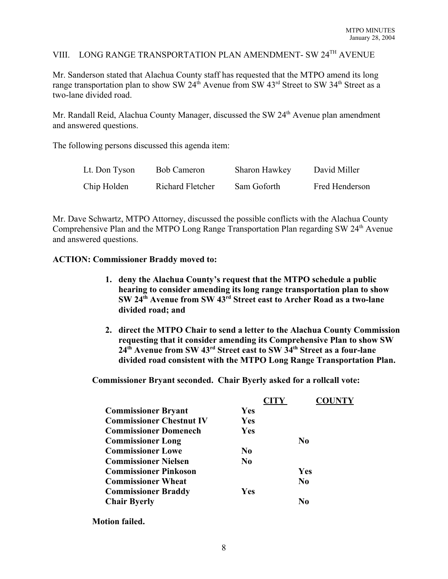# VIII. LONG RANGE TRANSPORTATION PLAN AMENDMENT- SW 24TH AVENUE

Mr. Sanderson stated that Alachua County staff has requested that the MTPO amend its long range transportation plan to show SW  $24^{th}$  Avenue from SW  $43^{rd}$  Street to SW  $34^{th}$  Street as a two-lane divided road.

Mr. Randall Reid, Alachua County Manager, discussed the SW  $24<sup>th</sup>$  Avenue plan amendment and answered questions.

The following persons discussed this agenda item:

| Lt. Don Tyson | <b>Bob Cameron</b> | Sharon Hawkey | David Miller   |
|---------------|--------------------|---------------|----------------|
| Chip Holden   | Richard Fletcher   | Sam Goforth   | Fred Henderson |

Mr. Dave Schwartz, MTPO Attorney, discussed the possible conflicts with the Alachua County Comprehensive Plan and the MTPO Long Range Transportation Plan regarding  $SW 24<sup>th</sup>$  Avenue and answered questions.

#### **ACTION: Commissioner Braddy moved to:**

- **1. deny the Alachua County's request that the MTPO schedule a public hearing to consider amending its long range transportation plan to show SW 24th Avenue from SW 43rd Street east to Archer Road as a two-lane divided road; and**
- **2. direct the MTPO Chair to send a letter to the Alachua County Commission requesting that it consider amending its Comprehensive Plan to show SW 24th Avenue from SW 43rd Street east to SW 34th Street as a four-lane divided road consistent with the MTPO Long Range Transportation Plan.**

**Commissioner Bryant seconded. Chair Byerly asked for a rollcall vote:**

|                                 | <b>CITY</b>    | <b>COUNTY</b>  |
|---------------------------------|----------------|----------------|
| <b>Commissioner Bryant</b>      | <b>Yes</b>     |                |
| <b>Commissioner Chestnut IV</b> | Yes            |                |
| <b>Commissioner Domenech</b>    | Yes            |                |
| <b>Commissioner Long</b>        |                | N <sub>0</sub> |
| <b>Commissioner Lowe</b>        | N <sub>0</sub> |                |
| <b>Commissioner Nielsen</b>     | N <sub>0</sub> |                |
| <b>Commissioner Pinkoson</b>    |                | Yes            |
| <b>Commissioner Wheat</b>       |                | N <sub>0</sub> |
| <b>Commissioner Braddy</b>      | Yes            |                |
| <b>Chair Byerly</b>             |                | N0             |

**Motion failed.**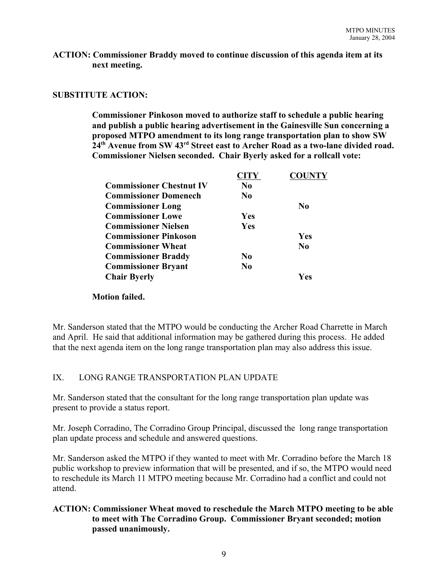### **ACTION: Commissioner Braddy moved to continue discussion of this agenda item at its next meeting.**

### **SUBSTITUTE ACTION:**

**Commissioner Pinkoson moved to authorize staff to schedule a public hearing and publish a public hearing advertisement in the Gainesville Sun concerning a proposed MTPO amendment to its long range transportation plan to show SW 24th Avenue from SW 43rd Street east to Archer Road as a two-lane divided road. Commissioner Nielsen seconded. Chair Byerly asked for a rollcall vote:**

| <b>CITY</b>    | <b>COUNTY</b>  |
|----------------|----------------|
| N <sub>0</sub> |                |
| N <sub>0</sub> |                |
|                | N <sub>0</sub> |
| Yes            |                |
| Yes            |                |
|                | Yes            |
|                | N <sub>0</sub> |
| N <sub>0</sub> |                |
| N <sub>0</sub> |                |
|                | Yes            |
|                |                |

### **Motion failed.**

Mr. Sanderson stated that the MTPO would be conducting the Archer Road Charrette in March and April. He said that additional information may be gathered during this process. He added that the next agenda item on the long range transportation plan may also address this issue.

## IX. LONG RANGE TRANSPORTATION PLAN UPDATE

Mr. Sanderson stated that the consultant for the long range transportation plan update was present to provide a status report.

Mr. Joseph Corradino, The Corradino Group Principal, discussed the long range transportation plan update process and schedule and answered questions.

Mr. Sanderson asked the MTPO if they wanted to meet with Mr. Corradino before the March 18 public workshop to preview information that will be presented, and if so, the MTPO would need to reschedule its March 11 MTPO meeting because Mr. Corradino had a conflict and could not attend.

# **ACTION: Commissioner Wheat moved to reschedule the March MTPO meeting to be able to meet with The Corradino Group. Commissioner Bryant seconded; motion passed unanimously.**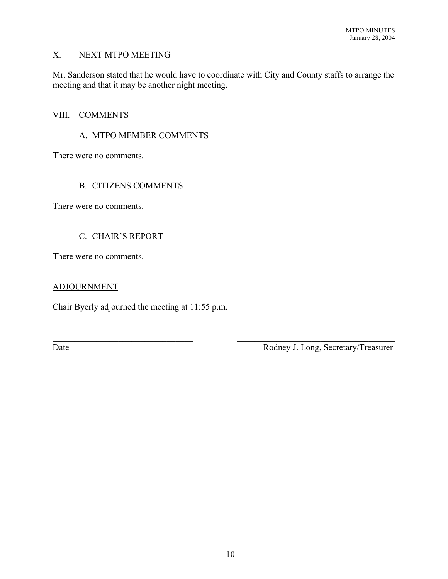# X. NEXT MTPO MEETING

Mr. Sanderson stated that he would have to coordinate with City and County staffs to arrange the meeting and that it may be another night meeting.

#### VIII. COMMENTS

### A. MTPO MEMBER COMMENTS

There were no comments.

### B. CITIZENS COMMENTS

There were no comments.

### C. CHAIR'S REPORT

There were no comments.

### ADJOURNMENT

Chair Byerly adjourned the meeting at 11:55 p.m.

Date Rodney J. Long, Secretary/Treasurer

 $\mathcal{L}_\text{max}$  , and the contribution of the contribution of the contribution of the contribution of the contribution of the contribution of the contribution of the contribution of the contribution of the contribution of t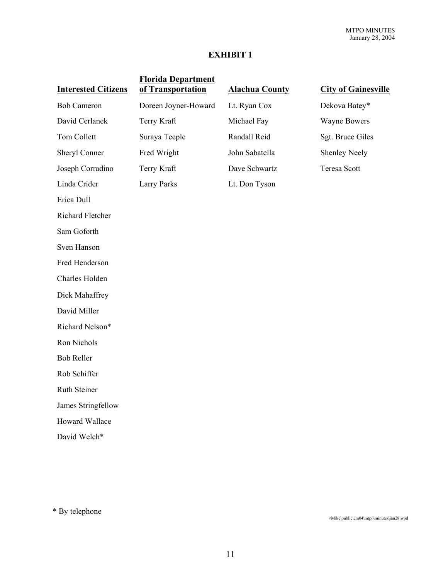# **EXHIBIT 1**

| <b>Interested Citizens</b> | <b>Florida Department</b><br>of Transportation | <b>Alachua County</b> | <b>City of Gainesville</b> |
|----------------------------|------------------------------------------------|-----------------------|----------------------------|
| <b>Bob Cameron</b>         | Doreen Joyner-Howard                           | Lt. Ryan Cox          | Dekova Batey*              |
| David Cerlanek             | Terry Kraft                                    | Michael Fay           | <b>Wayne Bowers</b>        |
| Tom Collett                | Suraya Teeple                                  | Randall Reid          | Sgt. Bruce Giles           |
| Sheryl Conner              | Fred Wright                                    | John Sabatella        | <b>Shenley Neely</b>       |
| Joseph Corradino           | Terry Kraft                                    | Dave Schwartz         | <b>Teresa Scott</b>        |
| Linda Crider               | <b>Larry Parks</b>                             | Lt. Don Tyson         |                            |
| Erica Dull                 |                                                |                       |                            |
| Richard Fletcher           |                                                |                       |                            |
| Sam Goforth                |                                                |                       |                            |
| Sven Hanson                |                                                |                       |                            |
| Fred Henderson             |                                                |                       |                            |
| Charles Holden             |                                                |                       |                            |
| Dick Mahaffrey             |                                                |                       |                            |
| David Miller               |                                                |                       |                            |
| Richard Nelson*            |                                                |                       |                            |
| Ron Nichols                |                                                |                       |                            |
| <b>Bob Reller</b>          |                                                |                       |                            |
| Rob Schiffer               |                                                |                       |                            |
| Ruth Steiner               |                                                |                       |                            |
| James Stringfellow         |                                                |                       |                            |
| Howard Wallace             |                                                |                       |                            |
| David Welch*               |                                                |                       |                            |

\* By telephone

\\Mike\public\em04\mtpo\minutes\jan28.wpd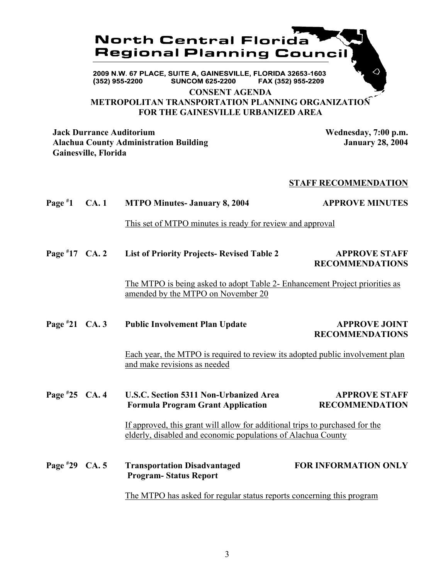

**METROPOLITAN TRANSPORTATION PLANNING ORGANIZATION FOR THE GAINESVILLE URBANIZED AREA**

**Jack Durrance Auditorium Wednesday, 7:00 p.m.** Alachua County Administration Building **January 28, 2004 Gainesville, Florida**

#### **STAFF RECOMMENDATION**

| Page $*1$        | CA.1 | <b>MTPO Minutes- January 8, 2004</b>                                                                                                         | <b>APPROVE MINUTES</b>                         |
|------------------|------|----------------------------------------------------------------------------------------------------------------------------------------------|------------------------------------------------|
|                  |      | This set of MTPO minutes is ready for review and approval                                                                                    |                                                |
| Page $*17$ CA. 2 |      | <b>List of Priority Projects- Revised Table 2</b>                                                                                            | <b>APPROVE STAFF</b><br><b>RECOMMENDATIONS</b> |
|                  |      | The MTPO is being asked to adopt Table 2- Enhancement Project priorities as<br>amended by the MTPO on November 20                            |                                                |
| Page $*21$ CA. 3 |      | <b>Public Involvement Plan Update</b>                                                                                                        | <b>APPROVE JOINT</b><br><b>RECOMMENDATIONS</b> |
|                  |      | Each year, the MTPO is required to review its adopted public involvement plan<br>and make revisions as needed                                |                                                |
| Page $*25$ CA. 4 |      | <b>U.S.C. Section 5311 Non-Urbanized Area</b><br><b>Formula Program Grant Application</b>                                                    | <b>APPROVE STAFF</b><br><b>RECOMMENDATION</b>  |
|                  |      | If approved, this grant will allow for additional trips to purchased for the<br>elderly, disabled and economic populations of Alachua County |                                                |
| Page #29 CA. 5   |      | <b>Transportation Disadvantaged</b><br><b>Program-Status Report</b>                                                                          | <b>FOR INFORMATION ONLY</b>                    |
|                  |      | The MTPO has asked for regular status reports concerning this program                                                                        |                                                |